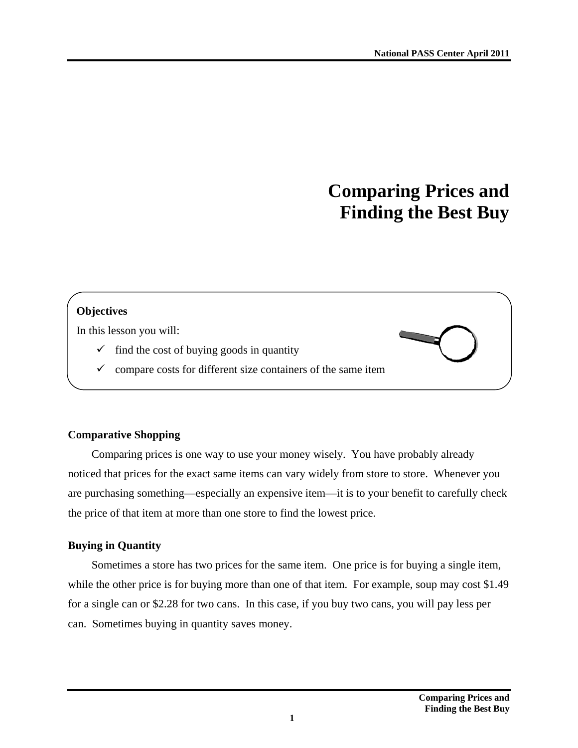# **Comparing Prices and Finding the Best Buy**

# **Objectives**

In this lesson you will:

- $\checkmark$  find the cost of buying goods in quantity
- $\checkmark$  compare costs for different size containers of the same item

# **Comparative Shopping**

Comparing prices is one way to use your money wisely. You have probably already noticed that prices for the exact same items can vary widely from store to store. Whenever you are purchasing something—especially an expensive item—it is to your benefit to carefully check the price of that item at more than one store to find the lowest price.

# **Buying in Quantity**

Sometimes a store has two prices for the same item. One price is for buying a single item, while the other price is for buying more than one of that item. For example, soup may cost \$1.49 for a single can or \$2.28 for two cans. In this case, if you buy two cans, you will pay less per can. Sometimes buying in quantity saves money.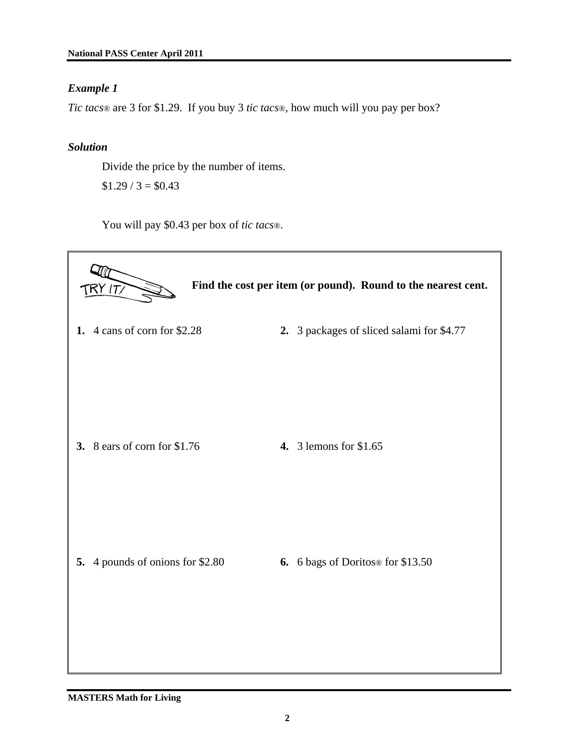## *Example 1*

*Tic tacs*® are 3 for \$1.29. If you buy 3 *tic tacs*®, how much will you pay per box?

## *Solution*

Divide the price by the number of items.  $$1.29 / 3 = $0.43$ 

You will pay \$0.43 per box of *tic tacs*®.

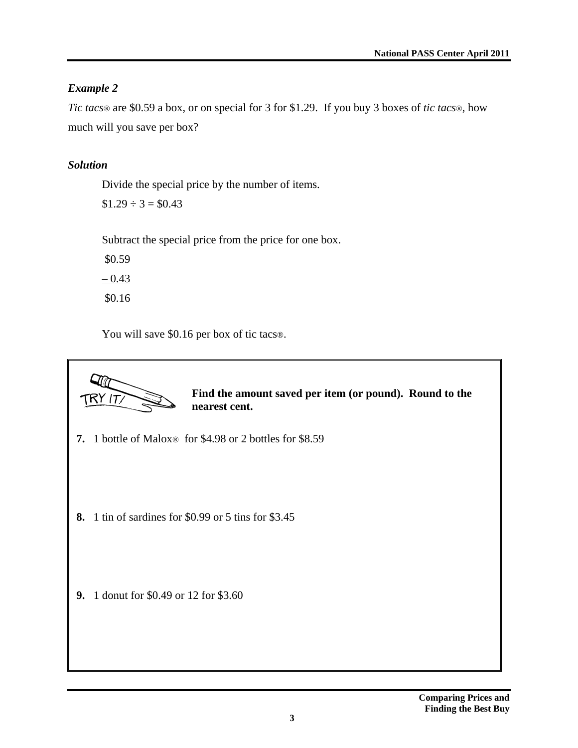# *Example 2*

*Tic tacs*® are \$0.59 a box, or on special for 3 for \$1.29. If you buy 3 boxes of *tic tacs*®, how much will you save per box?

# *Solution*

Divide the special price by the number of items.

 $$1.29 \div 3 = $0.43$ 

Subtract the special price from the price for one box.

 \$0.59  $-0.43$ \$0.16

You will save \$0.16 per box of tic tacs®.

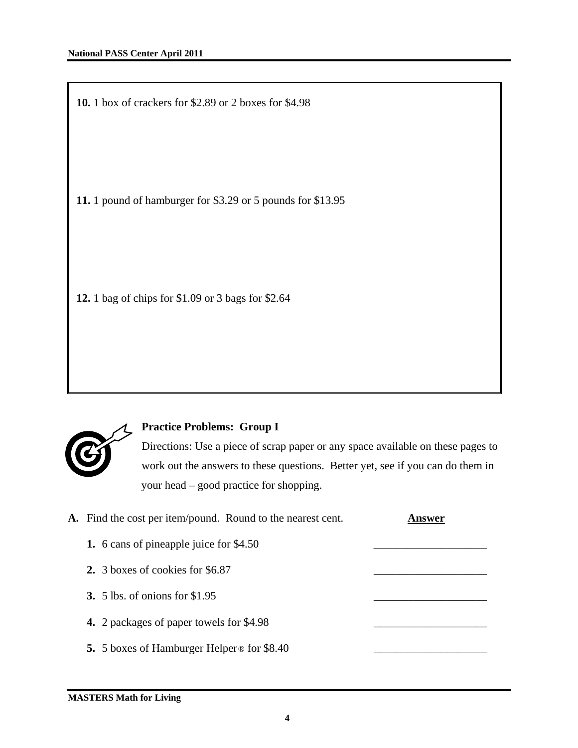**10.** 1 box of crackers for \$2.89 or 2 boxes for \$4.98

**11.** 1 pound of hamburger for \$3.29 or 5 pounds for \$13.95

**12.** 1 bag of chips for \$1.09 or 3 bags for \$2.64



# **Practice Problems: Group I**

Directions: Use a piece of scrap paper or any space available on these pages to work out the answers to these questions. Better yet, see if you can do them in your head – good practice for shopping.

| A. Find the cost per item/pound. Round to the nearest cent.   | nswer |
|---------------------------------------------------------------|-------|
| 1. 6 cans of pineapple juice for \$4.50                       |       |
| 2. 3 boxes of cookies for \$6.87                              |       |
| <b>3.</b> 5 lbs. of onions for \$1.95                         |       |
| 4. 2 packages of paper towels for \$4.98                      |       |
| <b>5.</b> 5 boxes of Hamburger Helper <sup>®</sup> for \$8.40 |       |
|                                                               |       |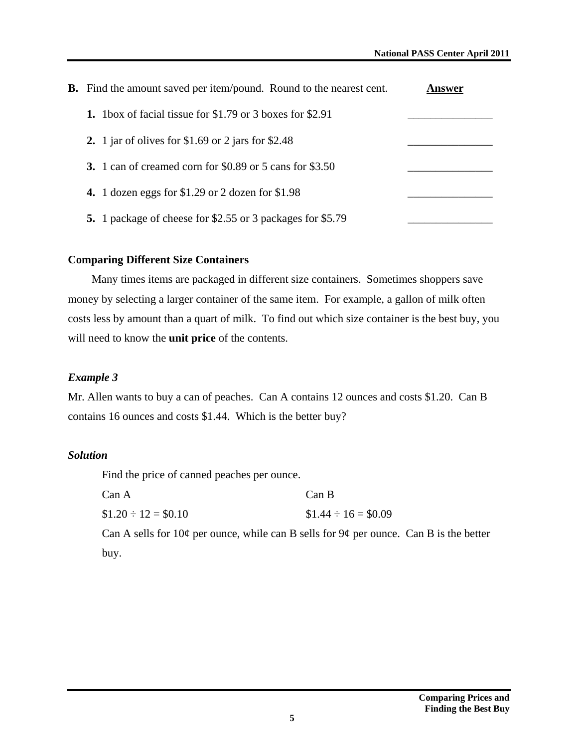| <b>B.</b> Find the amount saved per item/pound. Round to the nearest cent. | nswer |
|----------------------------------------------------------------------------|-------|
| 1. 1 box of facial tissue for $$1.79$ or 3 boxes for $$2.91$               |       |
| 2. 1 jar of olives for \$1.69 or 2 jars for \$2.48                         |       |
| 3. 1 can of creamed corn for \$0.89 or 5 cans for \$3.50                   |       |
| 4. 1 dozen eggs for $$1.29$ or 2 dozen for $$1.98$                         |       |
| 5. 1 package of cheese for \$2.55 or 3 packages for \$5.79                 |       |

#### **Comparing Different Size Containers**

Many times items are packaged in different size containers. Sometimes shoppers save money by selecting a larger container of the same item. For example, a gallon of milk often costs less by amount than a quart of milk. To find out which size container is the best buy, you will need to know the **unit price** of the contents.

#### *Example 3*

Mr. Allen wants to buy a can of peaches. Can A contains 12 ounces and costs \$1.20. Can B contains 16 ounces and costs \$1.44. Which is the better buy?

#### *Solution*

Find the price of canned peaches per ounce.

| Can A                   | Can B                   |
|-------------------------|-------------------------|
| $$1.20 \div 12 = $0.10$ | $$1.44 \div 16 = $0.09$ |

Can A sells for  $10¢$  per ounce, while can B sells for  $9¢$  per ounce. Can B is the better buy.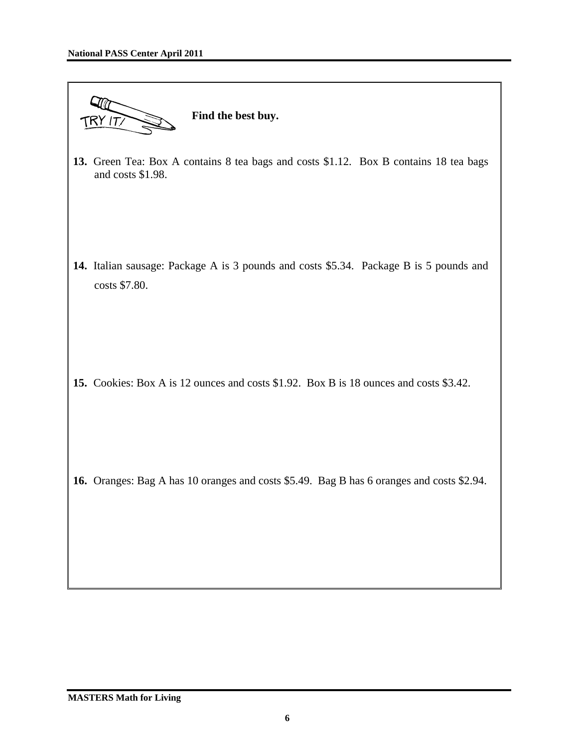

**13.** Green Tea: Box A contains 8 tea bags and costs \$1.12. Box B contains 18 tea bags and costs \$1.98.

**14.** Italian sausage: Package A is 3 pounds and costs \$5.34. Package B is 5 pounds and costs \$7.80.

**15.** Cookies: Box A is 12 ounces and costs \$1.92. Box B is 18 ounces and costs \$3.42.

**16.** Oranges: Bag A has 10 oranges and costs \$5.49. Bag B has 6 oranges and costs \$2.94.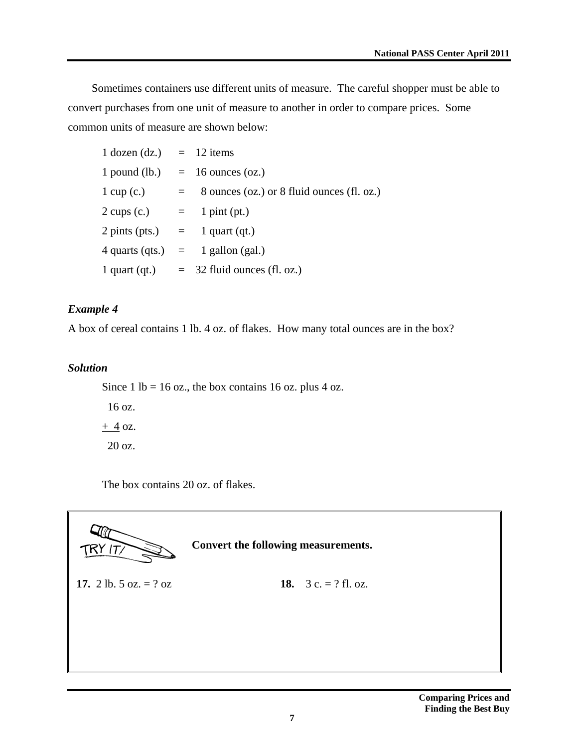Sometimes containers use different units of measure. The careful shopper must be able to convert purchases from one unit of measure to another in order to compare prices. Some common units of measure are shown below:

| $1$ dozen (dz.) = 12 items                       |         |                                            |
|--------------------------------------------------|---------|--------------------------------------------|
|                                                  |         | 1 pound (lb.) $= 16$ ounces (oz.)          |
| $1 \text{ cup}(c.)$                              | $=$ $-$ | 8 ounces (oz.) or 8 fluid ounces (fl. oz.) |
| $2 \text{ cups (c.)} = 1 \text{ pint (pt.)}$     |         |                                            |
| $2 \text{ pints (pts.)} = 1 \text{ quart (qt.)}$ |         |                                            |
|                                                  |         | $4$ quarts (qts.) $=$ 1 gallon (gal.)      |
| 1 quart $(qt)$                                   |         | $=$ 32 fluid ounces (fl. oz.)              |

# *Example 4*

A box of cereal contains 1 lb. 4 oz. of flakes. How many total ounces are in the box?

#### *Solution*

Since 1 lb = 16 oz., the box contains 16 oz. plus 4 oz. 16 oz.  $+4$  oz. 20 oz.

The box contains 20 oz. of flakes.

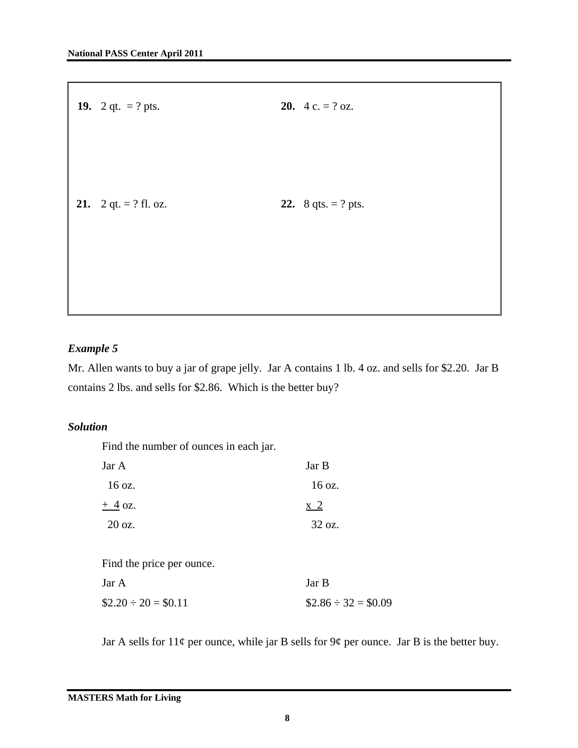| 19. 2 qt. = ? pts.                      | <b>20.</b> 4 c. = $?$ oz.  |
|-----------------------------------------|----------------------------|
|                                         |                            |
|                                         |                            |
|                                         |                            |
|                                         |                            |
| 21. $2 \text{ qt.} = ? \text{ fl. oz.}$ | <b>22.</b> 8 qts. = ? pts. |
|                                         |                            |
|                                         |                            |
|                                         |                            |
|                                         |                            |
|                                         |                            |

# *Example 5*

Mr. Allen wants to buy a jar of grape jelly. Jar A contains 1 lb. 4 oz. and sells for \$2.20. Jar B contains 2 lbs. and sells for \$2.86. Which is the better buy?

## *Solution*

Find the number of ounces in each jar.

| Jar A            | Jar B  |
|------------------|--------|
| $16 \text{ oz.}$ | 16 oz. |
| $+4$ oz.         | x 2    |
| $20 \text{ oz.}$ | 32 oz. |
|                  |        |

Find the price per ounce.

| Jar A                   | Jar B                   |
|-------------------------|-------------------------|
| $$2.20 \div 20 = $0.11$ | $$2.86 \div 32 = $0.09$ |

Jar A sells for  $11¢$  per ounce, while jar B sells for  $9¢$  per ounce. Jar B is the better buy.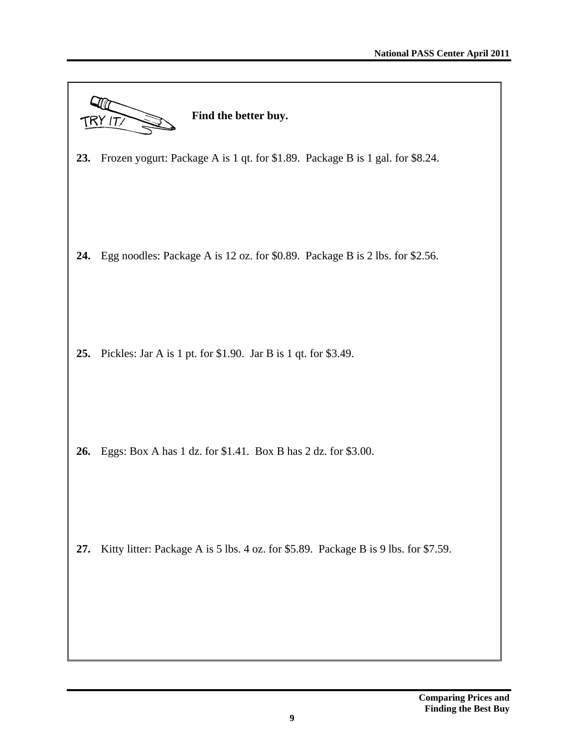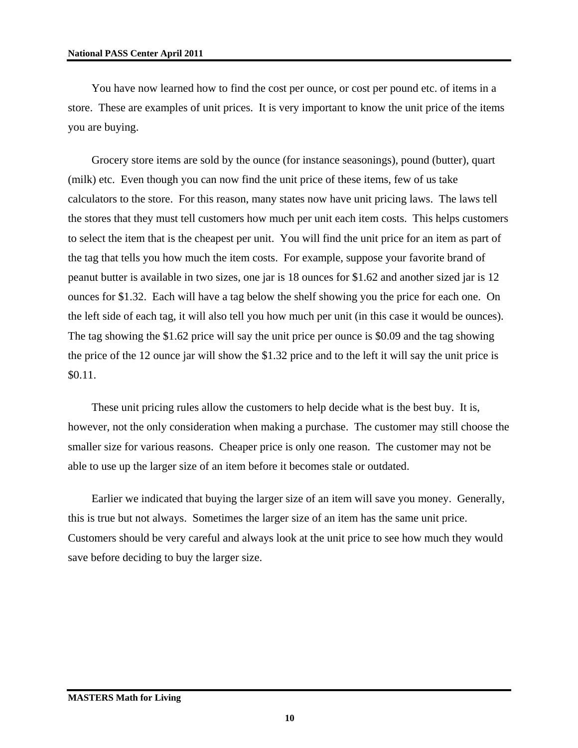You have now learned how to find the cost per ounce, or cost per pound etc. of items in a store. These are examples of unit prices. It is very important to know the unit price of the items you are buying.

Grocery store items are sold by the ounce (for instance seasonings), pound (butter), quart (milk) etc. Even though you can now find the unit price of these items, few of us take calculators to the store. For this reason, many states now have unit pricing laws. The laws tell the stores that they must tell customers how much per unit each item costs. This helps customers to select the item that is the cheapest per unit. You will find the unit price for an item as part of the tag that tells you how much the item costs. For example, suppose your favorite brand of peanut butter is available in two sizes, one jar is 18 ounces for \$1.62 and another sized jar is 12 ounces for \$1.32. Each will have a tag below the shelf showing you the price for each one. On the left side of each tag, it will also tell you how much per unit (in this case it would be ounces). The tag showing the \$1.62 price will say the unit price per ounce is \$0.09 and the tag showing the price of the 12 ounce jar will show the \$1.32 price and to the left it will say the unit price is \$0.11.

These unit pricing rules allow the customers to help decide what is the best buy. It is, however, not the only consideration when making a purchase. The customer may still choose the smaller size for various reasons. Cheaper price is only one reason. The customer may not be able to use up the larger size of an item before it becomes stale or outdated.

Earlier we indicated that buying the larger size of an item will save you money. Generally, this is true but not always. Sometimes the larger size of an item has the same unit price. Customers should be very careful and always look at the unit price to see how much they would save before deciding to buy the larger size.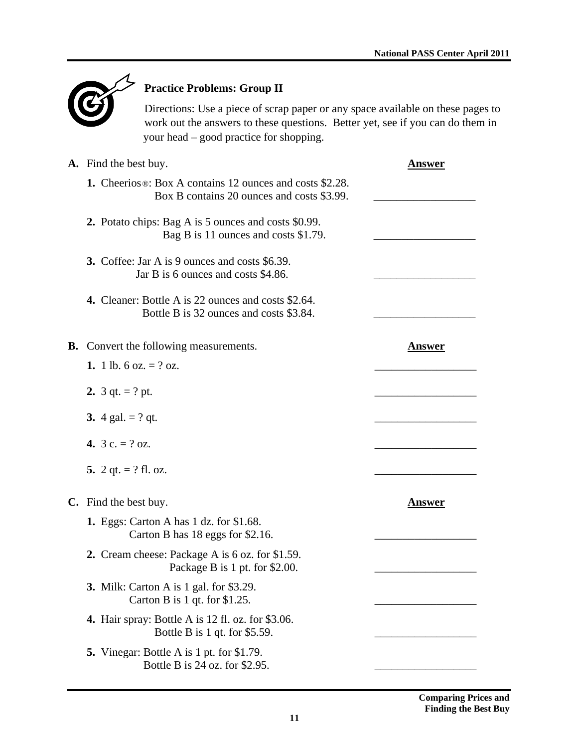

# **Practice Problems: Group II**

Directions: Use a piece of scrap paper or any space available on these pages to work out the answers to these questions. Better yet, see if you can do them in your head – good practice for shopping.

| <b>A.</b> Find the best buy.                                                                                               | Answer        |
|----------------------------------------------------------------------------------------------------------------------------|---------------|
| <b>1.</b> Cheerios <sup>®</sup> : Box A contains 12 ounces and costs \$2.28.<br>Box B contains 20 ounces and costs \$3.99. |               |
| 2. Potato chips: Bag A is 5 ounces and costs \$0.99.<br>Bag B is 11 ounces and costs \$1.79.                               |               |
| <b>3.</b> Coffee: Jar A is 9 ounces and costs \$6.39.<br>Jar B is 6 ounces and costs \$4.86.                               |               |
| <b>4.</b> Cleaner: Bottle A is 22 ounces and costs \$2.64.<br>Bottle B is 32 ounces and costs \$3.84.                      |               |
| <b>B.</b> Convert the following measurements.                                                                              | <b>Answer</b> |
| 1. 1 lb. 6 oz. $= ?$ oz.                                                                                                   |               |
| 2. $3 \text{ qt.} = ? \text{ pt.}$                                                                                         |               |
| 3. 4 gal. $= ?$ qt.                                                                                                        |               |
| 4. $3 c. = ? oz.$                                                                                                          |               |
| 5. 2 qt. $=$ ? fl. oz.                                                                                                     |               |
| C. Find the best buy.                                                                                                      | <b>Answer</b> |
| <b>1.</b> Eggs: Carton A has 1 dz. for \$1.68.<br>Carton B has 18 eggs for \$2.16.                                         |               |
| 2. Cream cheese: Package A is 6 oz. for \$1.59.<br>Package B is 1 pt. for \$2.00.                                          |               |
| <b>3.</b> Milk: Carton A is 1 gal. for \$3.29.<br>Carton B is $1$ qt. for \$1.25.                                          |               |
| <b>4.</b> Hair spray: Bottle A is 12 fl. oz. for \$3.06.<br>Bottle B is 1 qt. for $$5.59$ .                                |               |
| <b>5.</b> Vinegar: Bottle A is 1 pt. for \$1.79.<br>Bottle B is 24 oz. for \$2.95.                                         |               |